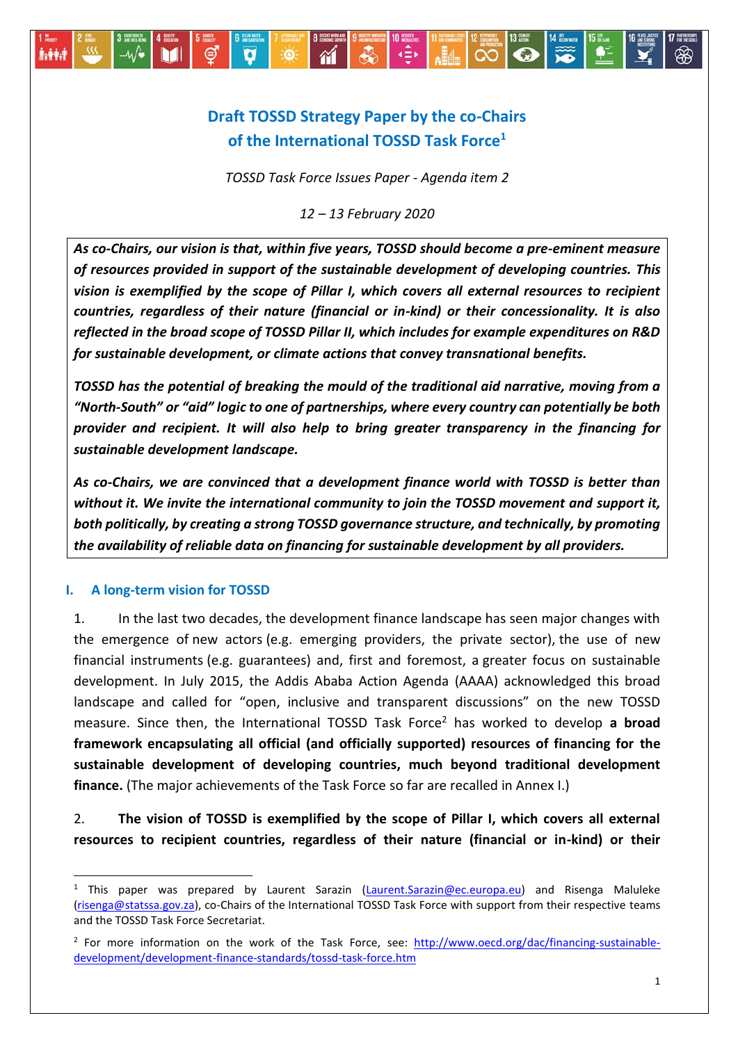

# **Draft TOSSD Strategy Paper by the co-Chairs of the International TOSSD Task Force<sup>1</sup>**

*TOSSD Task Force Issues Paper - Agenda item 2*

*12 – 13 February 2020*

*As co-Chairs, our vision is that, within five years, TOSSD should become a pre-eminent measure of resources provided in support of the sustainable development of developing countries. This vision is exemplified by the scope of Pillar I, which covers all external resources to recipient countries, regardless of their nature (financial or in-kind) or their concessionality. It is also reflected in the broad scope of TOSSD Pillar II, which includes for example expenditures on R&D for sustainable development, or climate actions that convey transnational benefits.*

*TOSSD has the potential of breaking the mould of the traditional aid narrative, moving from a "North-South" or "aid" logic to one of partnerships, where every country can potentially be both provider and recipient. It will also help to bring greater transparency in the financing for sustainable development landscape.*

*As co-Chairs, we are convinced that a development finance world with TOSSD is better than without it. We invite the international community to join the TOSSD movement and support it, both politically, by creating a strong TOSSD governance structure, and technically, by promoting the availability of reliable data on financing for sustainable development by all providers.*

#### **I. A long-term vision for TOSSD**

 $\ddot{\phantom{a}}$ 

1. In the last two decades, the development finance landscape has seen major changes with the emergence of new actors (e.g. emerging providers, the private sector), the use of new financial instruments (e.g. guarantees) and, first and foremost, a greater focus on sustainable development. In July 2015, the Addis Ababa Action Agenda (AAAA) acknowledged this broad landscape and called for "open, inclusive and transparent discussions" on the new TOSSD measure. Since then, the International TOSSD Task Force<sup>2</sup> has worked to develop **a broad framework encapsulating all official (and officially supported) resources of financing for the sustainable development of developing countries, much beyond traditional development finance.** (The major achievements of the Task Force so far are recalled in Annex I.)

2. **The vision of TOSSD is exemplified by the scope of Pillar I, which covers all external resources to recipient countries, regardless of their nature (financial or in-kind) or their** 

This paper was prepared by Laurent Sarazin [\(Laurent.Sarazin@ec.europa.eu\)](mailto:Laurent.Sarazin@ec.europa.eu) and Risenga Maluleke [\(risenga@statssa.gov.za\)](mailto:risenga@statssa.gov.za), co-Chairs of the International TOSSD Task Force with support from their respective teams and the TOSSD Task Force Secretariat.

<sup>&</sup>lt;sup>2</sup> For more information on the work of the Task Force, see: [http://www.oecd.org/dac/financing-sustainable](http://www.oecd.org/dac/financing-sustainable-development/development-finance-standards/tossd-task-force.htm)[development/development-finance-standards/tossd-task-force.htm](http://www.oecd.org/dac/financing-sustainable-development/development-finance-standards/tossd-task-force.htm)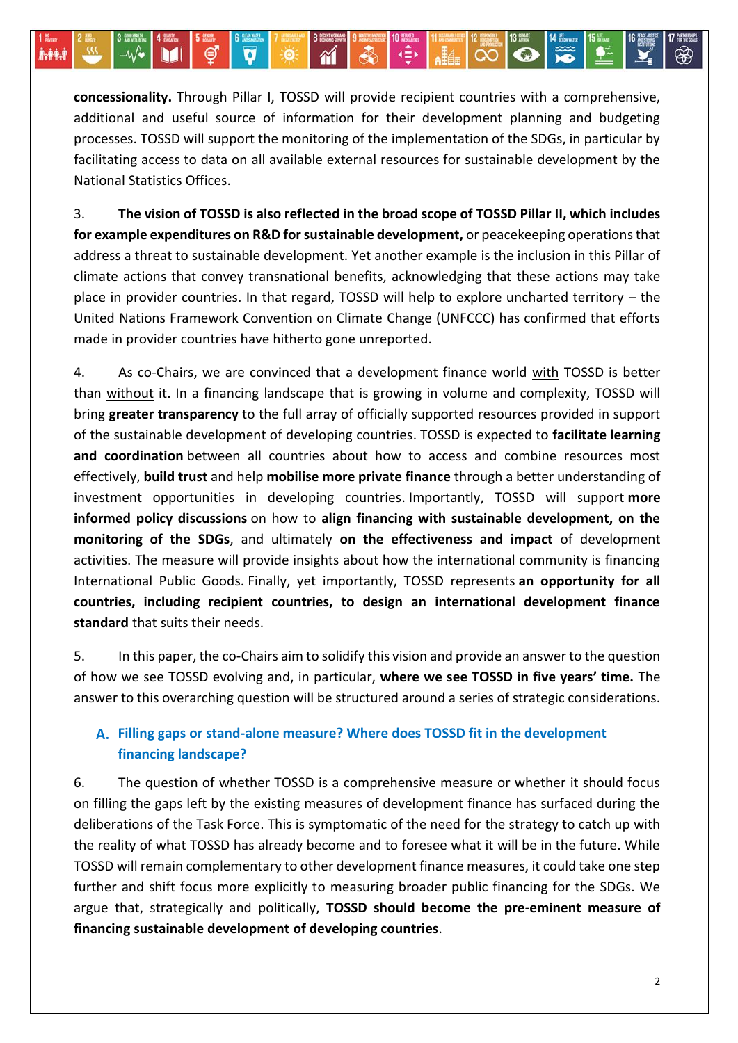**concessionality.** Through Pillar I, TOSSD will provide recipient countries with a comprehensive, additional and useful source of information for their development planning and budgeting processes. TOSSD will support the monitoring of the implementation of the SDGs, in particular by facilitating access to data on all available external resources for sustainable development by the National Statistics Offices.

 $\gamma$ 

Ø

**DO** 

MH

⊲⊕∗

 $\overline{\mathbf{c}}$ 

 $\infty$ 

3. **The vision of TOSSD is also reflected in the broad scope of TOSSD Pillar II, which includes for example expenditures on R&D for sustainable development,** or peacekeeping operations that address a threat to sustainable development. Yet another example is the inclusion in this Pillar of climate actions that convey transnational benefits, acknowledging that these actions may take place in provider countries. In that regard, TOSSD will help to explore uncharted territory – the United Nations Framework Convention on Climate Change (UNFCCC) has confirmed that efforts made in provider countries have hitherto gone unreported.

4. As co-Chairs, we are convinced that a development finance world with TOSSD is better than without it. In a financing landscape that is growing in volume and complexity, TOSSD will bring **greater transparency** to the full array of officially supported resources provided in support of the sustainable development of developing countries. TOSSD is expected to **facilitate learning and coordination** between all countries about how to access and combine resources most effectively, **build trust** and help **mobilise more private finance** through a better understanding of investment opportunities in developing countries. Importantly, TOSSD will support **more informed policy discussions** on how to **align financing with sustainable development, on the monitoring of the SDGs**, and ultimately **on the effectiveness and impact** of development activities. The measure will provide insights about how the international community is financing International Public Goods. Finally, yet importantly, TOSSD represents **an opportunity for all countries, including recipient countries, to design an international development finance standard** that suits their needs.

5. In this paper, the co-Chairs aim to solidify this vision and provide an answer to the question of how we see TOSSD evolving and, in particular, **where we see TOSSD in five years' time.** The answer to this overarching question will be structured around a series of strategic considerations.

# **Filling gaps or stand-alone measure? Where does TOSSD fit in the development financing landscape?**

6. The question of whether TOSSD is a comprehensive measure or whether it should focus on filling the gaps left by the existing measures of development finance has surfaced during the deliberations of the Task Force. This is symptomatic of the need for the strategy to catch up with the reality of what TOSSD has already become and to foresee what it will be in the future. While TOSSD will remain complementary to other development finance measures, it could take one step further and shift focus more explicitly to measuring broader public financing for the SDGs. We argue that, strategically and politically, **TOSSD should become the pre-eminent measure of financing sustainable development of developing countries**.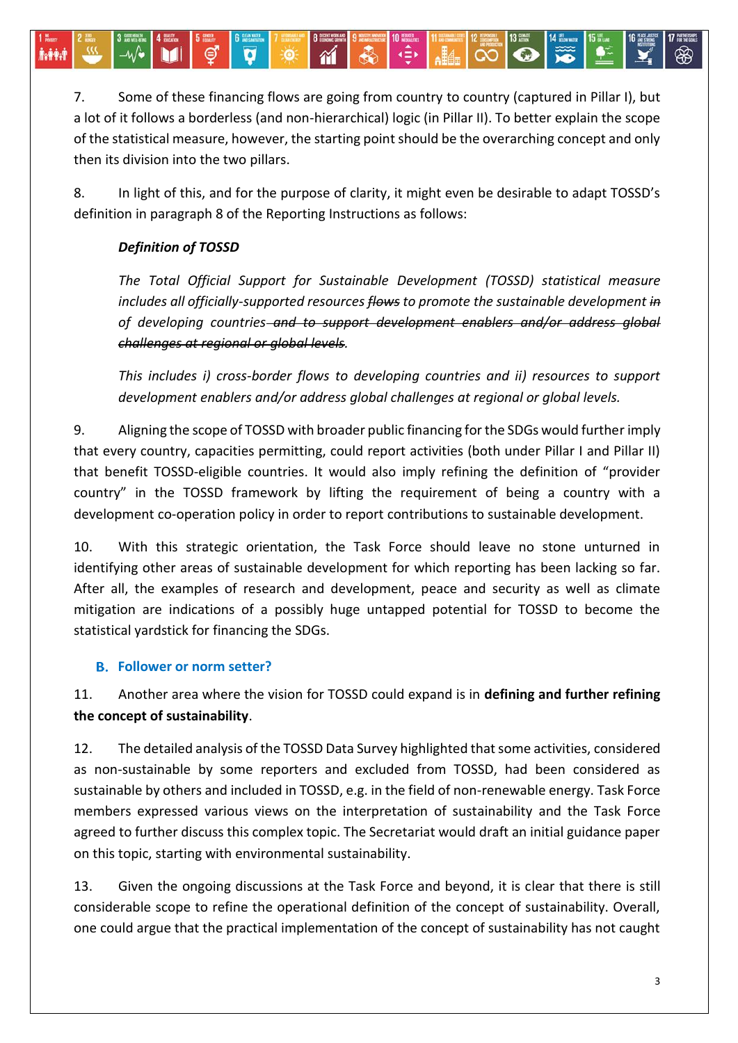7. Some of these financing flows are going from country to country (captured in Pillar I), but a lot of it follows a borderless (and non-hierarchical) logic (in Pillar II). To better explain the scope of the statistical measure, however, the starting point should be the overarching concept and only then its division into the two pillars.

 $\gamma$ 

8. In light of this, and for the purpose of clarity, it might even be desirable to adapt TOSSD's definition in paragraph 8 of the Reporting Instructions as follows:

# *Definition of TOSSD*

**İv##.1** 

*The Total Official Support for Sustainable Development (TOSSD) statistical measure includes all officially-supported resources flows to promote the sustainable development in of developing countries and to support development enablers and/or address global challenges at regional or global levels.*

*This includes i) cross-border flows to developing countries and ii) resources to support development enablers and/or address global challenges at regional or global levels.*

9. Aligning the scope of TOSSD with broader public financing for the SDGs would further imply that every country, capacities permitting, could report activities (both under Pillar I and Pillar II) that benefit TOSSD-eligible countries. It would also imply refining the definition of "provider country" in the TOSSD framework by lifting the requirement of being a country with a development co-operation policy in order to report contributions to sustainable development.

10. With this strategic orientation, the Task Force should leave no stone unturned in identifying other areas of sustainable development for which reporting has been lacking so far. After all, the examples of research and development, peace and security as well as climate mitigation are indications of a possibly huge untapped potential for TOSSD to become the statistical yardstick for financing the SDGs.

## **Follower or norm setter?**

# 11. Another area where the vision for TOSSD could expand is in **defining and further refining the concept of sustainability**.

12. The detailed analysis of the TOSSD Data Survey highlighted that some activities, considered as non-sustainable by some reporters and excluded from TOSSD, had been considered as sustainable by others and included in TOSSD, e.g. in the field of non-renewable energy. Task Force members expressed various views on the interpretation of sustainability and the Task Force agreed to further discuss this complex topic. The Secretariat would draft an initial guidance paper on this topic, starting with environmental sustainability.

13. Given the ongoing discussions at the Task Force and beyond, it is clear that there is still considerable scope to refine the operational definition of the concept of sustainability. Overall, one could argue that the practical implementation of the concept of sustainability has not caught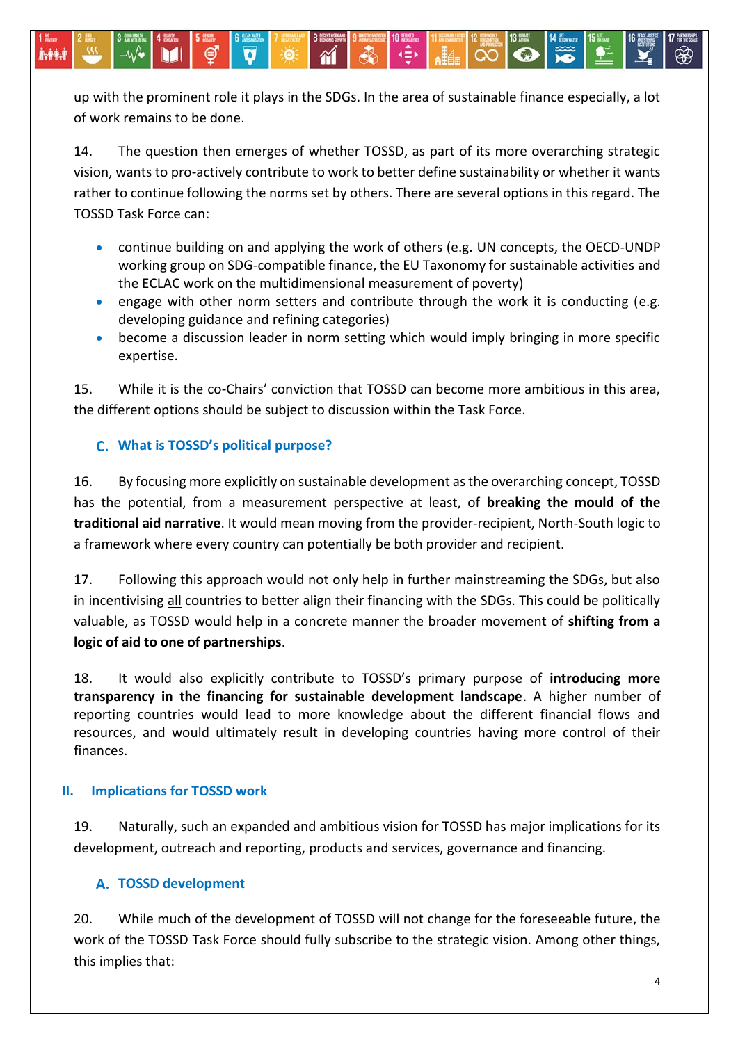up with the prominent role it plays in the SDGs. In the area of sustainable finance especially, a lot of work remains to be done.

 $\gamma$ 

14. The question then emerges of whether TOSSD, as part of its more overarching strategic vision, wants to pro-actively contribute to work to better define sustainability or whether it wants rather to continue following the norms set by others. There are several options in this regard. The TOSSD Task Force can:

- continue building on and applying the work of others (e.g. UN concepts, the OECD-UNDP working group on SDG-compatible finance, the EU Taxonomy for sustainable activities and the ECLAC work on the multidimensional measurement of poverty)
- engage with other norm setters and contribute through the work it is conducting (e.g. developing guidance and refining categories)
- become a discussion leader in norm setting which would imply bringing in more specific expertise.

15. While it is the co-Chairs' conviction that TOSSD can become more ambitious in this area, the different options should be subject to discussion within the Task Force.

# **What is TOSSD's political purpose?**

héèd

16. By focusing more explicitly on sustainable development as the overarching concept, TOSSD has the potential, from a measurement perspective at least, of **breaking the mould of the traditional aid narrative**. It would mean moving from the provider-recipient, North-South logic to a framework where every country can potentially be both provider and recipient.

17. Following this approach would not only help in further mainstreaming the SDGs, but also in incentivising all countries to better align their financing with the SDGs. This could be politically valuable, as TOSSD would help in a concrete manner the broader movement of **shifting from a logic of aid to one of partnerships**.

18. It would also explicitly contribute to TOSSD's primary purpose of **introducing more transparency in the financing for sustainable development landscape**. A higher number of reporting countries would lead to more knowledge about the different financial flows and resources, and would ultimately result in developing countries having more control of their finances.

## **II. Implications for TOSSD work**

19. Naturally, such an expanded and ambitious vision for TOSSD has major implications for its development, outreach and reporting, products and services, governance and financing.

## **TOSSD development**

20. While much of the development of TOSSD will not change for the foreseeable future, the work of the TOSSD Task Force should fully subscribe to the strategic vision. Among other things, this implies that: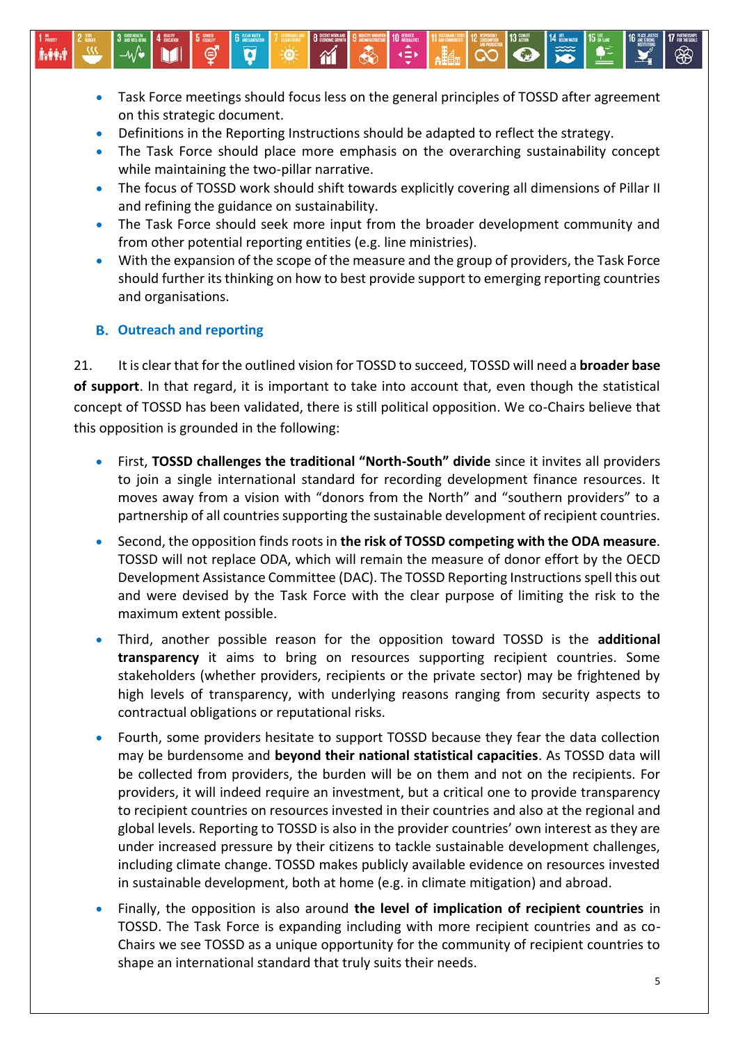- Task Force meetings should focus less on the general principles of TOSSD after agreement on this strategic document.
- Definitions in the Reporting Instructions should be adapted to reflect the strategy.
- The Task Force should place more emphasis on the overarching sustainability concept while maintaining the two-pillar narrative.
- The focus of TOSSD work should shift towards explicitly covering all dimensions of Pillar II and refining the guidance on sustainability.
- The Task Force should seek more input from the broader development community and from other potential reporting entities (e.g. line ministries).
- With the expansion of the scope of the measure and the group of providers, the Task Force should further its thinking on how to best provide support to emerging reporting countries and organisations.

#### **Outreach and reporting**

kės:

21. It is clear that for the outlined vision for TOSSD to succeed, TOSSD will need a **broader base of support**. In that regard, it is important to take into account that, even though the statistical concept of TOSSD has been validated, there is still political opposition. We co-Chairs believe that this opposition is grounded in the following:

- First, **TOSSD challenges the traditional "North-South" divide** since it invites all providers to join a single international standard for recording development finance resources. It moves away from a vision with "donors from the North" and "southern providers" to a partnership of all countries supporting the sustainable development of recipient countries.
- Second, the opposition finds roots in **the risk of TOSSD competing with the ODA measure**. TOSSD will not replace ODA, which will remain the measure of donor effort by the OECD Development Assistance Committee (DAC). The TOSSD Reporting Instructions spell this out and were devised by the Task Force with the clear purpose of limiting the risk to the maximum extent possible.
- Third, another possible reason for the opposition toward TOSSD is the **additional transparency** it aims to bring on resources supporting recipient countries. Some stakeholders (whether providers, recipients or the private sector) may be frightened by high levels of transparency, with underlying reasons ranging from security aspects to contractual obligations or reputational risks.
- Fourth, some providers hesitate to support TOSSD because they fear the data collection may be burdensome and **beyond their national statistical capacities**. As TOSSD data will be collected from providers, the burden will be on them and not on the recipients. For providers, it will indeed require an investment, but a critical one to provide transparency to recipient countries on resources invested in their countries and also at the regional and global levels. Reporting to TOSSD is also in the provider countries' own interest as they are under increased pressure by their citizens to tackle sustainable development challenges, including climate change. TOSSD makes publicly available evidence on resources invested in sustainable development, both at home (e.g. in climate mitigation) and abroad.
- Finally, the opposition is also around **the level of implication of recipient countries** in TOSSD. The Task Force is expanding including with more recipient countries and as co-Chairs we see TOSSD as a unique opportunity for the community of recipient countries to shape an international standard that truly suits their needs.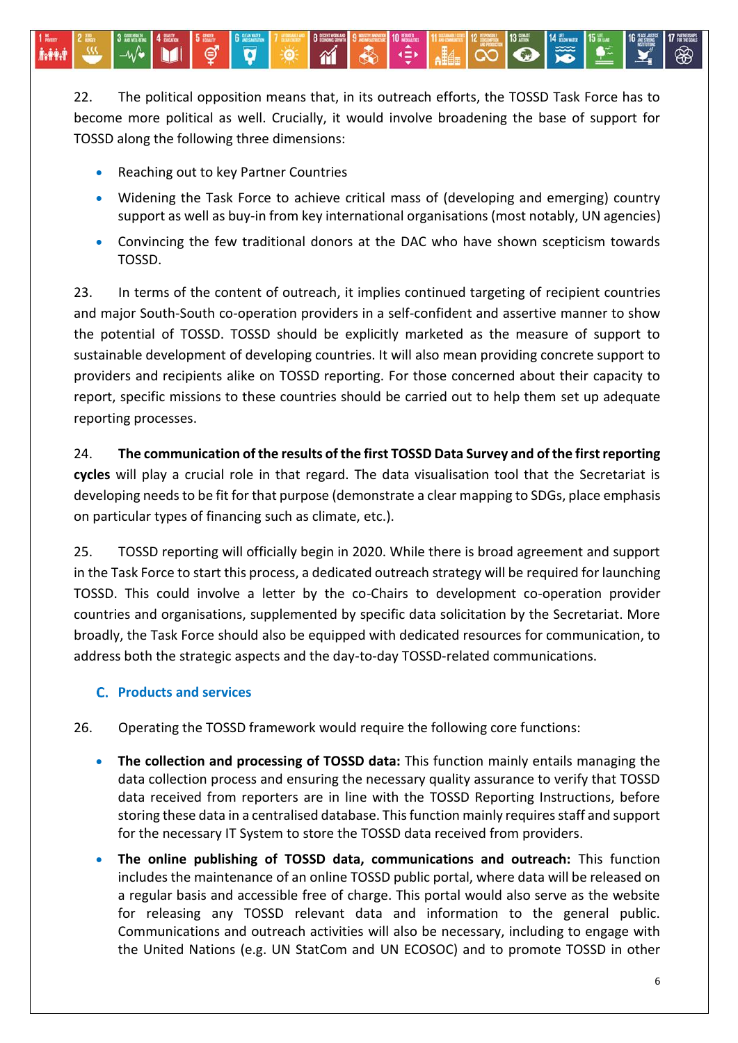22. The political opposition means that, in its outreach efforts, the TOSSD Task Force has to become more political as well. Crucially, it would involve broadening the base of support for TOSSD along the following three dimensions:

 $\gamma$ 

Reaching out to key Partner Countries

héèd

- Widening the Task Force to achieve critical mass of (developing and emerging) country support as well as buy-in from key international organisations (most notably, UN agencies)
- Convincing the few traditional donors at the DAC who have shown scepticism towards TOSSD.

23. In terms of the content of outreach, it implies continued targeting of recipient countries and major South-South co-operation providers in a self-confident and assertive manner to show the potential of TOSSD. TOSSD should be explicitly marketed as the measure of support to sustainable development of developing countries. It will also mean providing concrete support to providers and recipients alike on TOSSD reporting. For those concerned about their capacity to report, specific missions to these countries should be carried out to help them set up adequate reporting processes.

#### 24. **The communication of the results of the first TOSSD Data Survey and of the first reporting**

**cycles** will play a crucial role in that regard. The data visualisation tool that the Secretariat is developing needs to be fit for that purpose (demonstrate a clear mapping to SDGs, place emphasis on particular types of financing such as climate, etc.).

25. TOSSD reporting will officially begin in 2020. While there is broad agreement and support in the Task Force to start this process, a dedicated outreach strategy will be required for launching TOSSD. This could involve a letter by the co-Chairs to development co-operation provider countries and organisations, supplemented by specific data solicitation by the Secretariat. More broadly, the Task Force should also be equipped with dedicated resources for communication, to address both the strategic aspects and the day-to-day TOSSD-related communications.

## **Products and services**

- 26. Operating the TOSSD framework would require the following core functions:
	- **The collection and processing of TOSSD data:** This function mainly entails managing the data collection process and ensuring the necessary quality assurance to verify that TOSSD data received from reporters are in line with the TOSSD Reporting Instructions, before storing these data in a centralised database. This function mainly requires staff and support for the necessary IT System to store the TOSSD data received from providers.
	- **The online publishing of TOSSD data, communications and outreach:** This function includes the maintenance of an online TOSSD public portal, where data will be released on a regular basis and accessible free of charge. This portal would also serve as the website for releasing any TOSSD relevant data and information to the general public. Communications and outreach activities will also be necessary, including to engage with the United Nations (e.g. UN StatCom and UN ECOSOC) and to promote TOSSD in other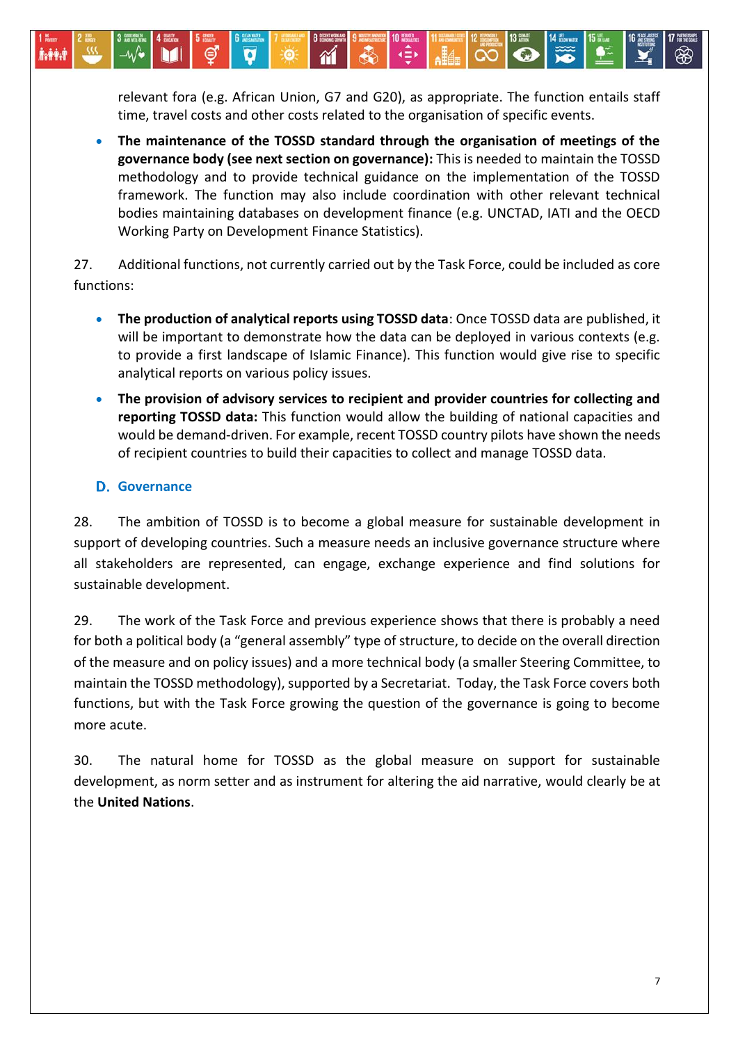relevant fora (e.g. African Union, G7 and G20), as appropriate. The function entails staff time, travel costs and other costs related to the organisation of specific events.

 **The maintenance of the TOSSD standard through the organisation of meetings of the governance body (see next section on governance):** This is needed to maintain the TOSSD methodology and to provide technical guidance on the implementation of the TOSSD framework. The function may also include coordination with other relevant technical bodies maintaining databases on development finance (e.g. UNCTAD, IATI and the OECD Working Party on Development Finance Statistics).

27. Additional functions, not currently carried out by the Task Force, could be included as core functions:

- **The production of analytical reports using TOSSD data**: Once TOSSD data are published, it will be important to demonstrate how the data can be deployed in various contexts (e.g. to provide a first landscape of Islamic Finance). This function would give rise to specific analytical reports on various policy issues.
- **The provision of advisory services to recipient and provider countries for collecting and reporting TOSSD data:** This function would allow the building of national capacities and would be demand-driven. For example, recent TOSSD country pilots have shown the needs of recipient countries to build their capacities to collect and manage TOSSD data.

#### **D.** Governance

kės:

28. The ambition of TOSSD is to become a global measure for sustainable development in support of developing countries. Such a measure needs an inclusive governance structure where all stakeholders are represented, can engage, exchange experience and find solutions for sustainable development.

29. The work of the Task Force and previous experience shows that there is probably a need for both a political body (a "general assembly" type of structure, to decide on the overall direction of the measure and on policy issues) and a more technical body (a smaller Steering Committee, to maintain the TOSSD methodology), supported by a Secretariat. Today, the Task Force covers both functions, but with the Task Force growing the question of the governance is going to become more acute.

30. The natural home for TOSSD as the global measure on support for sustainable development, as norm setter and as instrument for altering the aid narrative, would clearly be at the **United Nations**.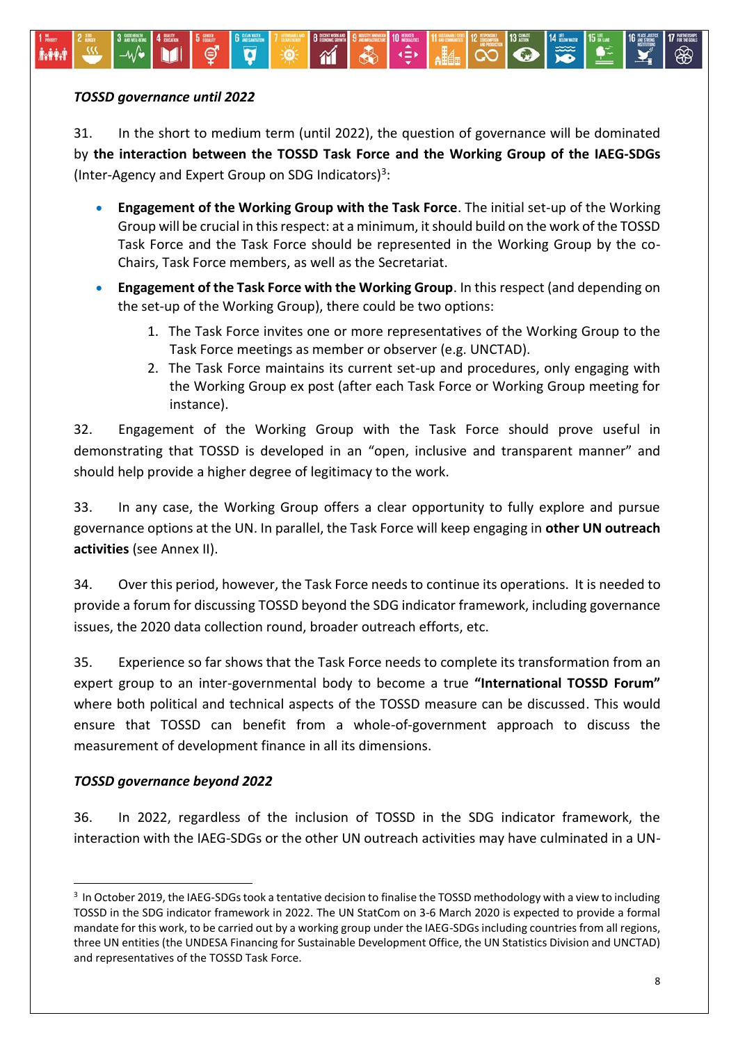#### *TOSSD governance until 2022*

MW

31. In the short to medium term (until 2022), the question of governance will be dominated by **the interaction between the TOSSD Task Force and the Working Group of the IAEG-SDGs** (Inter-Agency and Expert Group on SDG Indicators)<sup>3</sup>:

 $\gamma$ 

⊲≘∗

 $\ddot{\phantom{a}}$ 

- **Engagement of the Working Group with the Task Force**. The initial set-up of the Working Group will be crucial in this respect: at a minimum, it should build on the work of the TOSSD Task Force and the Task Force should be represented in the Working Group by the co-Chairs, Task Force members, as well as the Secretariat.
- **Engagement of the Task Force with the Working Group**. In this respect (and depending on the set-up of the Working Group), there could be two options:
	- 1. The Task Force invites one or more representatives of the Working Group to the Task Force meetings as member or observer (e.g. UNCTAD).
	- 2. The Task Force maintains its current set-up and procedures, only engaging with the Working Group ex post (after each Task Force or Working Group meeting for instance).

32. Engagement of the Working Group with the Task Force should prove useful in demonstrating that TOSSD is developed in an "open, inclusive and transparent manner" and should help provide a higher degree of legitimacy to the work.

33. In any case, the Working Group offers a clear opportunity to fully explore and pursue governance options at the UN. In parallel, the Task Force will keep engaging in **other UN outreach activities** (see Annex II).

34. Over this period, however, the Task Force needs to continue its operations. It is needed to provide a forum for discussing TOSSD beyond the SDG indicator framework, including governance issues, the 2020 data collection round, broader outreach efforts, etc.

35. Experience so far shows that the Task Force needs to complete its transformation from an expert group to an inter-governmental body to become a true **"International TOSSD Forum"** where both political and technical aspects of the TOSSD measure can be discussed. This would ensure that TOSSD can benefit from a whole-of-government approach to discuss the measurement of development finance in all its dimensions.

#### *TOSSD governance beyond 2022*

 $\ddot{\phantom{a}}$ 

36. In 2022, regardless of the inclusion of TOSSD in the SDG indicator framework, the interaction with the IAEG-SDGs or the other UN outreach activities may have culminated in a UN-

<sup>&</sup>lt;sup>3</sup> In October 2019, the IAEG-SDGs took a tentative decision to finalise the TOSSD methodology with a view to including TOSSD in the SDG indicator framework in 2022. The UN StatCom on 3-6 March 2020 is expected to provide a formal mandate for this work, to be carried out by a working group under the IAEG-SDGs including countries from all regions, three UN entities (the UNDESA Financing for Sustainable Development Office, the UN Statistics Division and UNCTAD) and representatives of the TOSSD Task Force.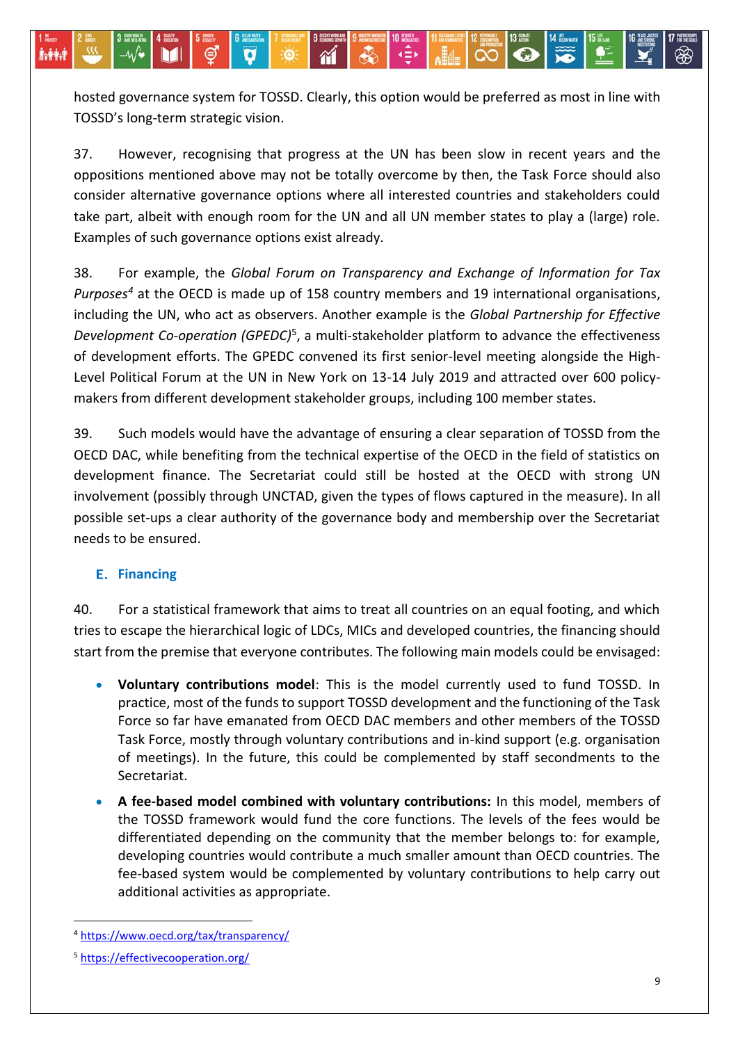hosted governance system for TOSSD. Clearly, this option would be preferred as most in line with TOSSD's long-term strategic vision.

 $\gamma$ 

37. However, recognising that progress at the UN has been slow in recent years and the oppositions mentioned above may not be totally overcome by then, the Task Force should also consider alternative governance options where all interested countries and stakeholders could take part, albeit with enough room for the UN and all UN member states to play a (large) role. Examples of such governance options exist already.

38. For example, the *Global Forum on Transparency and Exchange of Information for Tax Purposes<sup>4</sup>* at the OECD is made up of 158 country members and 19 international organisations, including the UN, who act as observers. Another example is the *Global Partnership for Effective Development Co-operation (GPEDC)*<sup>5</sup> , a multi-stakeholder platform to advance the effectiveness of development efforts. The GPEDC convened its first senior-level meeting alongside the High-Level Political Forum at the UN in New York on 13-14 July 2019 and attracted over 600 policymakers from different development stakeholder groups, including 100 member states.

39. Such models would have the advantage of ensuring a clear separation of TOSSD from the OECD DAC, while benefiting from the technical expertise of the OECD in the field of statistics on development finance. The Secretariat could still be hosted at the OECD with strong UN involvement (possibly through UNCTAD, given the types of flows captured in the measure). In all possible set-ups a clear authority of the governance body and membership over the Secretariat needs to be ensured.

## **Financing**

héèd

40. For a statistical framework that aims to treat all countries on an equal footing, and which tries to escape the hierarchical logic of LDCs, MICs and developed countries, the financing should start from the premise that everyone contributes. The following main models could be envisaged:

- **Voluntary contributions model**: This is the model currently used to fund TOSSD. In practice, most of the funds to support TOSSD development and the functioning of the Task Force so far have emanated from OECD DAC members and other members of the TOSSD Task Force, mostly through voluntary contributions and in-kind support (e.g. organisation of meetings). In the future, this could be complemented by staff secondments to the Secretariat.
- **A fee-based model combined with voluntary contributions:** In this model, members of the TOSSD framework would fund the core functions. The levels of the fees would be differentiated depending on the community that the member belongs to: for example, developing countries would contribute a much smaller amount than OECD countries. The fee-based system would be complemented by voluntary contributions to help carry out additional activities as appropriate.

1

<sup>4</sup> <https://www.oecd.org/tax/transparency/>

<sup>5</sup> <https://effectivecooperation.org/>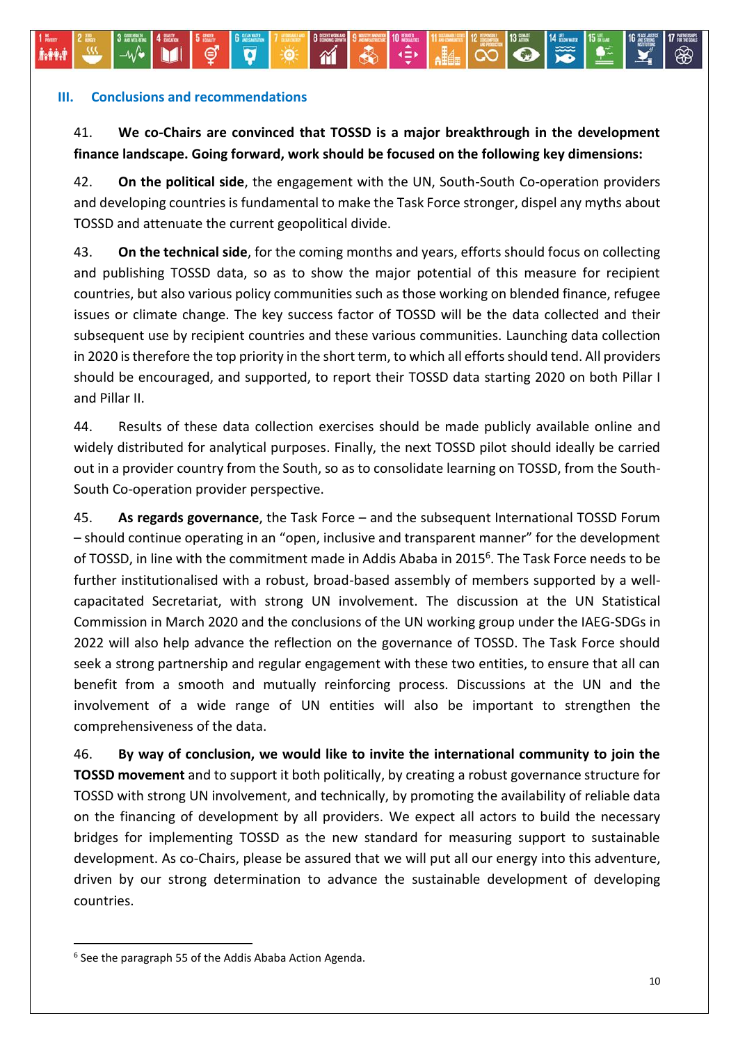#### **III. Conclusions and recommendations**

fr##d

# 41. **We co-Chairs are convinced that TOSSD is a major breakthrough in the development finance landscape. Going forward, work should be focused on the following key dimensions:**

1

 $\ddot{\bullet}$ 

Ø

 $\gamma$ 

∦∳∳

 $\mathbf{A}$ 

 $|\bar{\infty}|$   $\odot$ 

42. **On the political side**, the engagement with the UN, South-South Co-operation providers and developing countries is fundamental to make the Task Force stronger, dispel any myths about TOSSD and attenuate the current geopolitical divide.

43. **On the technical side**, for the coming months and years, efforts should focus on collecting and publishing TOSSD data, so as to show the major potential of this measure for recipient countries, but also various policy communities such as those working on blended finance, refugee issues or climate change. The key success factor of TOSSD will be the data collected and their subsequent use by recipient countries and these various communities. Launching data collection in 2020 is therefore the top priority in the short term, to which all efforts should tend. All providers should be encouraged, and supported, to report their TOSSD data starting 2020 on both Pillar I and Pillar II.

44. Results of these data collection exercises should be made publicly available online and widely distributed for analytical purposes. Finally, the next TOSSD pilot should ideally be carried out in a provider country from the South, so as to consolidate learning on TOSSD, from the South-South Co-operation provider perspective.

45. **As regards governance**, the Task Force – and the subsequent International TOSSD Forum – should continue operating in an "open, inclusive and transparent manner" for the development of TOSSD, in line with the commitment made in Addis Ababa in 2015<sup>6</sup>. The Task Force needs to be further institutionalised with a robust, broad-based assembly of members supported by a wellcapacitated Secretariat, with strong UN involvement. The discussion at the UN Statistical Commission in March 2020 and the conclusions of the UN working group under the IAEG-SDGs in 2022 will also help advance the reflection on the governance of TOSSD. The Task Force should seek a strong partnership and regular engagement with these two entities, to ensure that all can benefit from a smooth and mutually reinforcing process. Discussions at the UN and the involvement of a wide range of UN entities will also be important to strengthen the comprehensiveness of the data.

46. **By way of conclusion, we would like to invite the international community to join the TOSSD movement** and to support it both politically, by creating a robust governance structure for TOSSD with strong UN involvement, and technically, by promoting the availability of reliable data on the financing of development by all providers. We expect all actors to build the necessary bridges for implementing TOSSD as the new standard for measuring support to sustainable development. As co-Chairs, please be assured that we will put all our energy into this adventure, driven by our strong determination to advance the sustainable development of developing countries.

 $\overline{a}$ 

<sup>&</sup>lt;sup>6</sup> See the paragraph 55 of the Addis Ababa Action Agenda.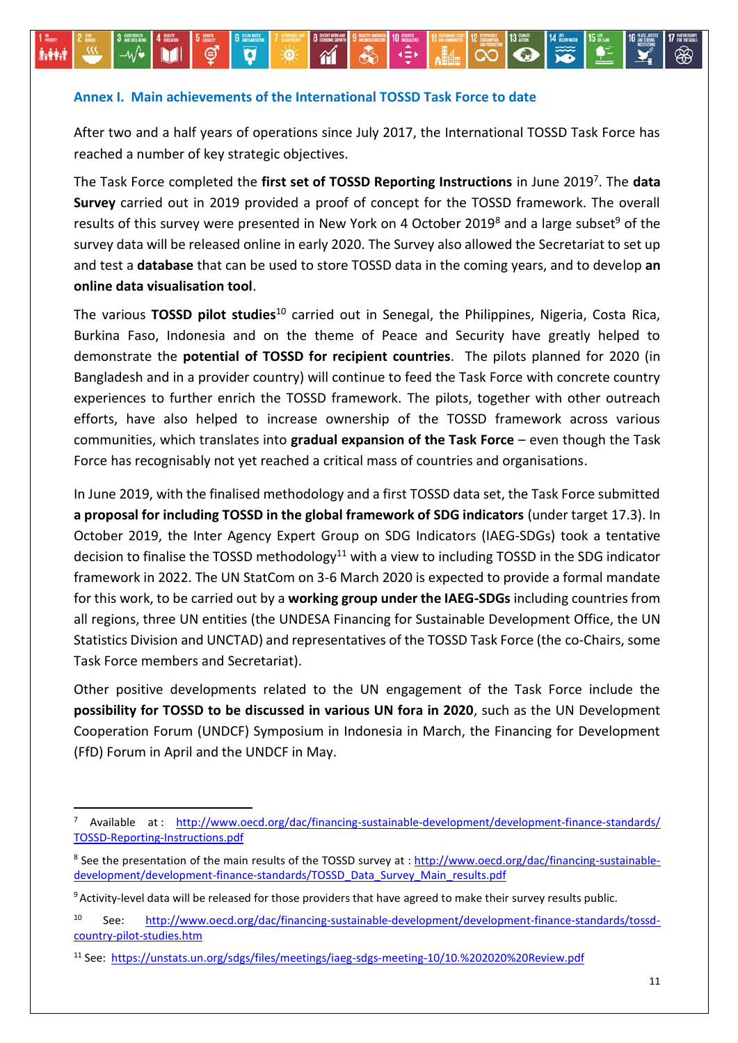#### **Annex I. Main achievements of the International TOSSD Task Force to date**

-0

 $\gamma$ 

 $\overline{\mathbf{v}}$ 

After two and a half years of operations since July 2017, the International TOSSD Task Force has reached a number of key strategic objectives.

∢≘

 $|\overline{\mathbf{o}}|$ 

The Task Force completed the **first set of TOSSD Reporting Instructions** in June 2019<sup>7</sup> . The **data Survey** carried out in 2019 provided a proof of concept for the TOSSD framework. The overall results of this survey were presented in New York on 4 October 2019<sup>8</sup> and a large subset<sup>9</sup> of the survey data will be released online in early 2020. The Survey also allowed the Secretariat to set up and test a **database** that can be used to store TOSSD data in the coming years, and to develop **an online data visualisation tool**.

The various **TOSSD pilot studies**<sup>10</sup> carried out in Senegal, the Philippines, Nigeria, Costa Rica, Burkina Faso, Indonesia and on the theme of Peace and Security have greatly helped to demonstrate the **potential of TOSSD for recipient countries**. The pilots planned for 2020 (in Bangladesh and in a provider country) will continue to feed the Task Force with concrete country experiences to further enrich the TOSSD framework. The pilots, together with other outreach efforts, have also helped to increase ownership of the TOSSD framework across various communities, which translates into **gradual expansion of the Task Force** – even though the Task Force has recognisably not yet reached a critical mass of countries and organisations.

In June 2019, with the finalised methodology and a first TOSSD data set, the Task Force submitted **a proposal for including TOSSD in the global framework of SDG indicators** (under target 17.3). In October 2019, the Inter Agency Expert Group on SDG Indicators (IAEG-SDGs) took [a tentative](https://unstats.un.org/sdgs/files/meetings/iaeg-sdgs-meeting-10/10.%202020%20Review.pdf)  [decision to finalise the TOSSD methodology](https://unstats.un.org/sdgs/files/meetings/iaeg-sdgs-meeting-10/10.%202020%20Review.pdf)<sup>11</sup> with a view to including TOSSD in the SDG indicator framework in 2022. The UN StatCom on 3-6 March 2020 is expected to provide a formal mandate for this work, to be carried out by a **working group under the IAEG-SDGs** including countries from all regions, three UN entities (the UNDESA Financing for Sustainable Development Office, the UN Statistics Division and UNCTAD) and representatives of the TOSSD Task Force (the co-Chairs, some Task Force members and Secretariat).

Other positive developments related to the UN engagement of the Task Force include the **possibility for TOSSD to be discussed in various UN fora in 2020**, such as the UN Development Cooperation Forum (UNDCF) Symposium in Indonesia in March, the Financing for Development (FfD) Forum in April and the UNDCF in May.

 $\overline{a}$ 

MH

Available at : [http://www.oecd.org/dac/financing-sustainable-development/development-finance-standards/](http://www.oecd.org/dac/financing-sustainable-development/development-finance-standards/TOSSD-Reporting-Instructions.pdf) [TOSSD-Reporting-Instructions.pdf](http://www.oecd.org/dac/financing-sustainable-development/development-finance-standards/TOSSD-Reporting-Instructions.pdf)

<sup>&</sup>lt;sup>8</sup> See the presentation of the main results of the TOSSD survey at : <u>http://www.oecd.org/dac/financing-sustainable-</u> [development/development-finance-standards/TOSSD\\_Data\\_Survey\\_Main\\_results.pdf](http://www.oecd.org/dac/financing-sustainable-development/development-finance-standards/TOSSD_Data_Survey_Main_results.pdf)

<sup>&</sup>lt;sup>9</sup> Activity-level data will be released for those providers that have agreed to make their survey results public.

<sup>10</sup> See: [http://www.oecd.org/dac/financing-sustainable-development/development-finance-standards/tossd](http://www.oecd.org/dac/financing-sustainable-development/development-finance-standards/tossd-country-pilot-studies.htm)[country-pilot-studies.htm](http://www.oecd.org/dac/financing-sustainable-development/development-finance-standards/tossd-country-pilot-studies.htm)

<sup>11</sup> See: <https://unstats.un.org/sdgs/files/meetings/iaeg-sdgs-meeting-10/10.%202020%20Review.pdf>